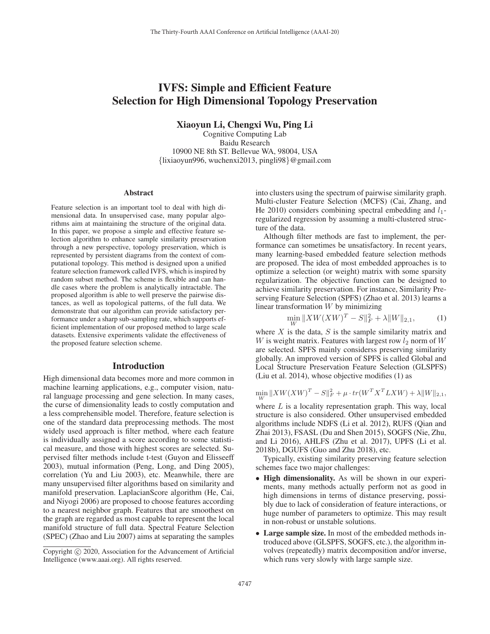# IVFS: Simple and Efficient Feature Selection for High Dimensional Topology Preservation

Xiaoyun Li, Chengxi Wu, Ping Li

Cognitive Computing Lab Baidu Research 10900 NE 8th ST. Bellevue WA, 98004, USA {lixiaoyun996, wuchenxi2013, pingli98}@gmail.com

#### Abstract

Feature selection is an important tool to deal with high dimensional data. In unsupervised case, many popular algorithms aim at maintaining the structure of the original data. In this paper, we propose a simple and effective feature selection algorithm to enhance sample similarity preservation through a new perspective, topology preservation, which is represented by persistent diagrams from the context of computational topology. This method is designed upon a unified feature selection framework called IVFS, which is inspired by random subset method. The scheme is flexible and can handle cases where the problem is analytically intractable. The proposed algorithm is able to well preserve the pairwise distances, as well as topological patterns, of the full data. We demonstrate that our algorithm can provide satisfactory performance under a sharp sub-sampling rate, which supports efficient implementation of our proposed method to large scale datasets. Extensive experiments validate the effectiveness of the proposed feature selection scheme.

## Introduction

High dimensional data becomes more and more common in machine learning applications, e.g., computer vision, natural language processing and gene selection. In many cases, the curse of dimensionality leads to costly computation and a less comprehensible model. Therefore, feature selection is one of the standard data preprocessing methods. The most widely used approach is filter method, where each feature is individually assigned a score according to some statistical measure, and those with highest scores are selected. Supervised filter methods include t-test (Guyon and Elisseeff 2003), mutual information (Peng, Long, and Ding 2005), correlation (Yu and Liu 2003), etc. Meanwhile, there are many unsupervised filter algorithms based on similarity and manifold preservation. LaplacianScore algorithm (He, Cai, and Niyogi 2006) are proposed to choose features according to a nearest neighbor graph. Features that are smoothest on the graph are regarded as most capable to represent the local manifold structure of full data. Spectral Feature Selection (SPEC) (Zhao and Liu 2007) aims at separating the samples

into clusters using the spectrum of pairwise similarity graph. Multi-cluster Feature Selection (MCFS) (Cai, Zhang, and He 2010) considers combining spectral embedding and  $l_1$ regularized regression by assuming a multi-clustered structure of the data.

Although filter methods are fast to implement, the performance can sometimes be unsatisfactory. In recent years, many learning-based embedded feature selection methods are proposed. The idea of most embedded approaches is to optimize a selection (or weight) matrix with some sparsity regularization. The objective function can be designed to achieve similarity preservation. For instance, Similarity Preserving Feature Selection (SPFS) (Zhao et al. 2013) learns a linear transformation  $W$  by minimizing

$$
\min_{W} \|XW(XW)^{T} - S\|_{F}^{2} + \lambda \|W\|_{2,1}, \tag{1}
$$

where  $X$  is the data,  $S$  is the sample similarity matrix and W is weight matrix. Features with largest row  $l_2$  norm of W are selected. SPFS mainly considerss preserving similarity globally. An improved version of SPFS is called Global and Local Structure Preservation Feature Selection (GLSPFS) (Liu et al. 2014), whose objective modifies (1) as

$$
\min_{W} \|XW(XW)^{T} - S\|_{F}^{2} + \mu \cdot tr(W^{T} X^{T} L X W) + \lambda \|W\|_{2,1},
$$

where  $L$  is a locality representation graph. This way, local structure is also considered. Other unsupervised embedded algorithms include NDFS (Li et al. 2012), RUFS (Qian and Zhai 2013), FSASL (Du and Shen 2015), SOGFS (Nie, Zhu, and Li 2016), AHLFS (Zhu et al. 2017), UPFS (Li et al. 2018b), DGUFS (Guo and Zhu 2018), etc.

Typically, existing similarity preserving feature selection schemes face two major challenges:

- High dimensionality. As will be shown in our experiments, many methods actually perform not as good in high dimensions in terms of distance preserving, possibly due to lack of consideration of feature interactions, or huge number of parameters to optimize. This may result in non-robust or unstable solutions.
- Large sample size. In most of the embedded methods introduced above (GLSPFS, SOGFS, etc.), the algorithm involves (repeatedly) matrix decomposition and/or inverse, which runs very slowly with large sample size.

Copyright  $\odot$  2020, Association for the Advancement of Artificial Intelligence (www.aaai.org). All rights reserved.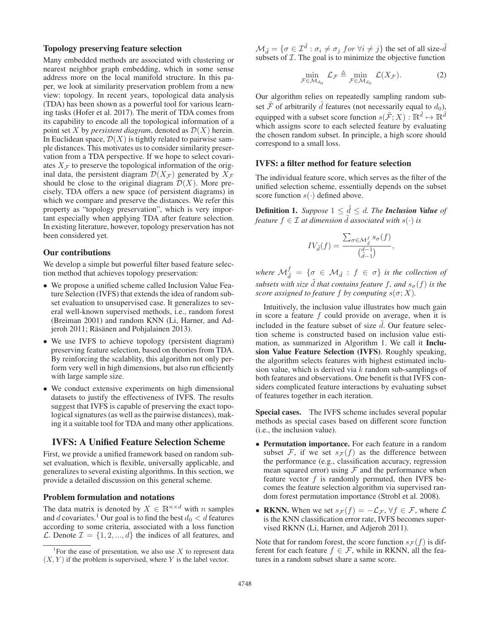# Topology preserving feature selection

Many embedded methods are associated with clustering or nearest neighbor graph embedding, which in some sense address more on the local manifold structure. In this paper, we look at similarity preservation problem from a new view: topology. In recent years, topological data analysis (TDA) has been shown as a powerful tool for various learning tasks (Hofer et al. 2017). The merit of TDA comes from its capability to encode all the topological information of a point set X by *persistent diagram*, denoted as  $\mathcal{D}(X)$  herein. In Euclidean space,  $\mathcal{D}(X)$  is tightly related to pairwise sample distances. This motivates us to consider similarity preservation from a TDA perspective. If we hope to select covariates  $X_F$  to preserve the topological information of the original data, the persistent diagram  $\mathcal{D}(X_{\mathcal{F}})$  generated by  $X_{\mathcal{F}}$ should be close to the original diagram  $\mathcal{D}(X)$ . More precisely, TDA offers a new space (of persistent diagrams) in which we compare and preserve the distances. We refer this property as "topology preservation", which is very important especially when applying TDA after feature selection. In existing literature, however, topology preservation has not been considered yet.

## Our contributions

We develop a simple but powerful filter based feature selection method that achieves topology preservation:

- We propose a unified scheme called Inclusion Value Feature Selection (IVFS) that extends the idea of random subset evaluation to unsupervised case. It generalizes to several well-known supervised methods, i.e., random forest (Breiman 2001) and random KNN (Li, Harner, and Adjeroh 2011; Räsänen and Pohjalainen 2013).
- We use IVFS to achieve topology (persistent diagram) preserving feature selection, based on theories from TDA. By reinforcing the scalablity, this algorithm not only perform very well in high dimensions, but also run efficiently with large sample size.
- We conduct extensive experiments on high dimensional datasets to justify the effectiveness of IVFS. The results suggest that IVFS is capable of preserving the exact topological signatures (as well as the pairwise distances), making it a suitable tool for TDA and many other applications.

# IVFS: A Unified Feature Selection Scheme

First, we provide a unified framework based on random subset evaluation, which is flexible, universally applicable, and generalizes to several existing algorithms. In this section, we provide a detailed discussion on this general scheme.

# Problem formulation and notations

The data matrix is denoted by  $X \in \mathbb{R}^{n \times d}$  with n samples and d covariates.<sup>1</sup> Our goal is to find the best  $d_0 < d$  features according to some criteria, associated with a loss function  $\mathcal{L}$ . Denote  $\mathcal{I} = \{1, 2, ..., d\}$  the indices of all features, and  $\mathcal{M}_{\tilde{d}} = \{ \sigma \in \mathcal{I}^{\tilde{d}} : \sigma_i \neq \sigma_j \text{ for } \forall i \neq j \}$  the set of all size- $\tilde{d}$ <br>subsets of  $\mathcal{T}$ . The goal is to minimize the objective function subsets of  $I$ . The goal is to minimize the objective function

$$
\min_{\mathcal{F} \in \mathcal{M}_{d_0}} \mathcal{L}_{\mathcal{F}} \triangleq \min_{\mathcal{F} \in \mathcal{M}_{d_0}} \mathcal{L}(X_{\mathcal{F}}). \tag{2}
$$

Our algorithm relies on repeatedly sampling random subset F of arbitrarily d features (not necessarily equal to  $d_0$ ), equipped with a subset score function  $s(\tilde{\mathcal{F}};X): \mathbb{R}^{\tilde{d}} \mapsto \mathbb{R}^{\tilde{d}}$ which assigns score to each selected feature by evaluating the chosen random subset. In principle, a high score should correspond to a small loss.

# IVFS: a filter method for feature selection

The individual feature score, which serves as the filter of the unified selection scheme, essentially depends on the subset score function  $s(\cdot)$  defined above.

**Definition 1.** *Suppose*  $1 \leq \tilde{d} \leq d$ . *The Inclusion Value of feature*  $f \in \mathcal{T}$  at dimension  $\tilde{d}$  associated with  $g(.)$  is *feature*  $f \in \mathcal{I}$  *at dimension d associated with*  $s(\cdot)$  *is* 

$$
IV_{\tilde{d}}(f) = \frac{\sum_{\sigma \in \mathcal{M}_{\tilde{d}}^f} s_{\sigma}(f)}{\binom{d-1}{\tilde{d}-1}},
$$

*where*  $\mathcal{M}_{\tilde{d}}^f = \{ \sigma \in \mathcal{M}_{\tilde{d}} : f \in \sigma \}$  *is the collection of subsets with size* d *that contains feature* f*, and*  $s_{\sigma}(f)$  *is the score assigned to feature* f *by computing*  $s(\sigma \cdot X)$ *score assigned to feature* f *by computing*  $s(\sigma; X)$ *.* 

Intuitively, the inclusion value illustrates how much gain in score a feature  $f$  could provide on average, when it is included in the feature subset of size  $d$ . Our feature selection scheme is constructed based on inclusion value set tion scheme is constructed based on inclusion value estimation, as summarized in Algorithm 1. We call it Inclusion Value Feature Selection (IVFS). Roughly speaking, the algorithm selects features with highest estimated inclusion value, which is derived via  $k$  random sub-samplings of both features and observations. One benefit is that IVFS considers complicated feature interactions by evaluating subset of features together in each iteration.

Special cases. The IVFS scheme includes several popular methods as special cases based on different score function (i.e., the inclusion value).

- Permutation importance. For each feature in a random subset  $F$ , if we set  $s_F(f)$  as the difference between the performance (e.g., classification accuracy, regression mean squared error) using  $F$  and the performance when feature vector  $f$  is randomly permuted, then IVFS becomes the feature selection algorithm via supervised random forest permutation importance (Strobl et al. 2008).
- RKNN. When we set  $s_{\mathcal{F}}(f) = -\mathcal{L}_{\mathcal{F}}$ ,  $\forall f \in \mathcal{F}$ , where  $\mathcal{L}$ is the KNN classification error rate, IVFS becomes supervised RKNN (Li, Harner, and Adjeroh 2011).

Note that for random forest, the score function  $s_{\mathcal{F}}(f)$  is different for each feature  $f \in \mathcal{F}$ , while in RKNN, all the features in a random subset share a same score.

<sup>&</sup>lt;sup>1</sup> For the ease of presentation, we also use  $X$  to represent data  $(X, Y)$  if the problem is supervised, where Y is the label vector.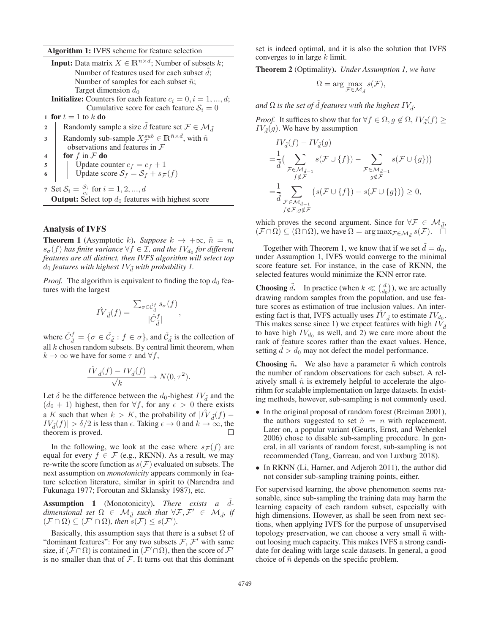Algorithm 1: IVFS scheme for feature selection

|                                                             | <b>Input:</b> Data matrix $X \in \mathbb{R}^{n \times d}$ ; Number of subsets k;                    |  |  |  |  |  |
|-------------------------------------------------------------|-----------------------------------------------------------------------------------------------------|--|--|--|--|--|
|                                                             | Number of features used for each subset $d$ ;                                                       |  |  |  |  |  |
|                                                             | Number of samples for each subset $\tilde{n}$ ;                                                     |  |  |  |  |  |
|                                                             | Target dimension $d_0$                                                                              |  |  |  |  |  |
|                                                             | <b>Initialize:</b> Counters for each feature $c_i = 0, i = 1, , d;$                                 |  |  |  |  |  |
|                                                             | Cumulative score for each feature $S_i = 0$                                                         |  |  |  |  |  |
|                                                             | 1 for $t=1$ to k do                                                                                 |  |  |  |  |  |
| $\mathbf{2}$                                                | Randomly sample a size d feature set $\mathcal{F} \in \mathcal{M}_{\tilde{d}}$                      |  |  |  |  |  |
| 3                                                           | Randomly sub-sample $X^{sub}_{\tau} \in \mathbb{R}^{\tilde{n} \times \tilde{d}}$ , with $\tilde{n}$ |  |  |  |  |  |
|                                                             | observations and features in $F$                                                                    |  |  |  |  |  |
| 4                                                           | for $f$ in $\mathcal F$ do                                                                          |  |  |  |  |  |
| 5                                                           | Update counter $c_f = c_f + 1$                                                                      |  |  |  |  |  |
|                                                             | Update score $S_f = S_f + s_{\mathcal{F}}(f)$                                                       |  |  |  |  |  |
|                                                             | 7 Set $S_i = \frac{S_i}{c_i}$ for $i = 1, 2, , d$                                                   |  |  |  |  |  |
| <b>Output:</b> Select top $d_0$ features with highest score |                                                                                                     |  |  |  |  |  |
|                                                             |                                                                                                     |  |  |  |  |  |

# Analysis of IVFS

**Theorem 1** (Asymptotic k). *Suppose*  $k \rightarrow +\infty$ ,  $\tilde{n} = n$ ,  $s_{\sigma}(f)$  *has finite variance*  $\forall f \in I$ *, and the IV*<sub>d<sub>0</sub> *for different*</sub> *features are all distinct, then IVFS algorithm will select top*  $d_0$  *features with highest*  $IV_{\tilde{d}}$  *with probability 1.* 

*Proof.* The algorithm is equivalent to finding the top  $d_0$  features with the largest

$$
\hat{IV}_{\tilde{d}}(f) = \frac{\sum_{\sigma \in \hat{\mathcal{C}}_{\tilde{d}}^f} s_{\sigma}(f)}{|\hat{C}_{\tilde{d}}^f|},
$$

where  $\hat{C}_{\tilde{d}}^f = \{ \sigma \in \hat{\mathcal{C}}_{\tilde{d}} : f \in \sigma \}$ , and  $\hat{\mathcal{C}}_{\tilde{d}}$  is the collection of all k chosen random subsets. By central limit theorem, when all  $k$  chosen random subsets. By central limit theorem, when  $k \to \infty$  we have for some  $\tau$  and  $\forall f$ ,

$$
\frac{IV_{\tilde{d}}(f) - IV_{\tilde{d}}(f)}{\sqrt{k}} \to N(0, \tau^2).
$$

Let  $\delta$  be the difference between the  $d_0$ -highest  $IV_{\tilde{d}}$  and the  $(d_0 + 1)$  highest, then for  $\forall f$ , for any  $\epsilon > 0$  there exists a K such that when  $k > K$ , the probability of  $|I_V(\tilde{I}) - I_V(\tilde{I})|$  $IV_{d}(f)| > \delta/2$  is less than  $\epsilon$ . Taking  $\epsilon \to 0$  and  $k \to \infty$ , the theorem is proved. theorem is proved.

In the following, we look at the case where  $s_F(f)$  are equal for every  $f \in \mathcal{F}$  (e.g., RKNN). As a result, we may re-write the score function as  $s(\mathcal{F})$  evaluated on subsets. The next assumption on *monotonicity* appears commonly in feature selection literature, similar in spirit to (Narendra and Fukunaga 1977; Foroutan and Sklansky 1987), etc.

Assumption 1 (Monotonicity). *There exists a d-*<br>dimensional act  $\Omega \subseteq M$  and that  $\forall T$ ,  $T' \subseteq M$ *dimensional set*  $\Omega \in \mathcal{M}_{\tilde{d}}$  *such that*  $\forall \mathcal{F}, \mathcal{F}' \in \mathcal{M}_{\tilde{d}}$ *, if*  $(\mathcal{F} \cap \Omega) \subseteq (\mathcal{F}' \cap \Omega)$ *, then*  $s(\mathcal{F}) \leq s(\mathcal{F}')$ *.* 

Basically, this assumption says that there is a subset  $\Omega$  of "dominant features": For any two subsets  $\mathcal{F}, \mathcal{F}'$  with same size, if  $(F \cap \Omega)$  is contained in  $(F' \cap \Omega)$ , then the score of  $\mathcal{F}'$ is no smaller than that of  $F$ . It turns out that this dominant

set is indeed optimal, and it is also the solution that IVFS converges to in large  $k$  limit.

Theorem 2 (Optimality). *Under Assumption 1, we have*

$$
\Omega = \arg \max_{\mathcal{F} \in \mathcal{M}_{\tilde{d}}} s(\mathcal{F}),
$$

and  $\Omega$  *is the set of d features with the highest*  $IV_{\tilde{d}}$ *.* 

*Proof.* It suffices to show that for  $\forall f \in \Omega, g \notin \Omega, IV_{\tilde{d}}(f) \geq 0$  $IV_{\tilde{d}}(g)$ . We have by assumption

$$
IV_{\tilde{d}}(f) - IV_{\tilde{d}}(g)
$$
  
=  $\frac{1}{\tilde{d}} \Big( \sum_{\substack{\mathcal{F} \in \mathcal{M}_{\tilde{d}-1} \\ f \notin \mathcal{F}}} s(\mathcal{F} \cup \{f\}) - \sum_{\substack{\mathcal{F} \in \mathcal{M}_{d-1} \\ g \notin \mathcal{F}}} s(\mathcal{F} \cup \{g\}) \Big)$   
=  $\frac{1}{\tilde{d}} \sum_{\substack{\mathcal{F} \in \mathcal{M}_{\tilde{d}-1} \\ f \notin \mathcal{F}, g \notin \mathcal{F}}} \big(s(\mathcal{F} \cup \{f\}) - s(\mathcal{F} \cup \{g\})\big) \ge 0,$ 

which proves the second argument. Since for  $\forall \mathcal{F} \in \mathcal{M}_{d}$ ,  $(\mathcal{F} \cap \Omega) \subseteq (\Omega \cap \Omega)$ , we have  $\Omega = \arg \max_{\mathcal{F} \in \mathcal{M}_{\tilde{d}}} s(\mathcal{F})$ .

Together with Theorem 1, we know that if we set  $d = d_0$ , der Assumption 1. IVES would converge to the minimal under Assumption 1, IVFS would converge to the minimal score feature set. For instance, in the case of RKNN, the selected features would minimize the KNN error rate.

**Choosing**  $\tilde{d}$ . In practice (when  $k \ll \begin{pmatrix} d_0 \\ d_0 \end{pmatrix}$ ), we are actually drawing random samples from the population, and use feature scores as estimation of true inclusion values. An interesting fact is that, IVFS actually uses  $IV_{\tilde{d}}$  to estimate  $IV_{d_0}$ . This makes sense since 1) we expect features with high  $IV_{\tilde{d}}$ to have high  $IV_{d_0}$  as well, and 2) we care more about the rank of feature scores rather than the exact values. Hence, setting  $d > d_0$  may not defect the model performance.

**Choosing**  $\tilde{n}$ . We also have a parameter  $\tilde{n}$  which controls the number of random observations for each subset. A relatively small  $\tilde{n}$  is extremely helpful to accelerate the algorithm for scalable implementation on large datasets. In existing methods, however, sub-sampling is not commonly used.

- In the original proposal of random forest (Breiman 2001), the authors suggested to set  $\tilde{n} = n$  with replacement. Later on, a popular variant (Geurts, Ernst, and Wehenkel 2006) chose to disable sub-sampling procedure. In general, in all variants of random forest, sub-sampling is not recommended (Tang, Garreau, and von Luxburg 2018).
- In RKNN (Li, Harner, and Adjeroh 2011), the author did not consider sub-sampling training points, either.

For supervised learning, the above phenomenon seems reasonable, since sub-sampling the training data may harm the learning capacity of each random subset, especially with high dimensions. However, as shall be seen from next sections, when applying IVFS for the purpose of unsupervised topology preservation, we can choose a very small  $\tilde{n}$  without loosing much capacity. This makes IVFS a strong candidate for dealing with large scale datasets. In general, a good choice of  $\tilde{n}$  depends on the specific problem.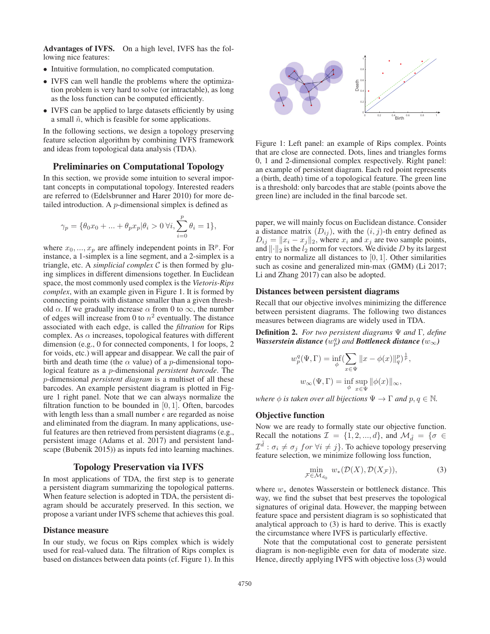Advantages of IVFS. On a high level, IVFS has the following nice features:

- Intuitive formulation, no complicated computation.
- IVFS can well handle the problems where the optimization problem is very hard to solve (or intractable), as long as the loss function can be computed efficiently.
- IVFS can be applied to large datasets efficiently by using a small  $\tilde{n}$ , which is feasible for some applications.

In the following sections, we design a topology preserving feature selection algorithm by combining IVFS framework and ideas from topological data analysis (TDA).

# Preliminaries on Computational Topology

In this section, we provide some intuition to several important concepts in computational topology. Interested readers are referred to (Edelsbrunner and Harer 2010) for more detailed introduction. A p-dimensional simplex is defined as

$$
\gamma_p = \{ \theta_0 x_0 + \dots + \theta_p x_p | \theta_i > 0 \,\forall i, \sum_{i=0}^p \theta_i = 1 \},
$$

where  $x_0, ..., x_p$  are affinely independent points in  $\mathbb{R}^p$ . For instance, a 1-simplex is a line segment, and a 2-simplex is a triangle, etc. A *simplicial complex* C is then formed by gluing simplices in different dimensions together. In Euclidean space, the most commonly used complex is the *Vietoris-Rips complex*, with an example given in Figure 1. It is formed by connecting points with distance smaller than a given threshold  $\alpha$ . If we gradually increase  $\alpha$  from 0 to  $\infty$ , the number of edges will increase from 0 to  $n^2$  eventually. The distance associated with each edge, is called the *filtration* for Rips complex. As  $\alpha$  increases, topological features with different dimension (e.g., 0 for connected components, 1 for loops, 2 for voids, etc.) will appear and disappear. We call the pair of birth and death time (the  $\alpha$  value) of a *p*-dimensional topological feature as a p-dimensional *persistent barcode*. The p-dimensional *persistent diagram* is a multiset of all these barcodes. An example persistent diagram is plotted in Figure 1 right panel. Note that we can always normalize the filtration function to be bounded in  $[0, 1]$ . Often, barcodes with length less than a small number  $\epsilon$  are regarded as noise and eliminated from the diagram. In many applications, useful features are then retrieved from persistent diagrams (e.g., persistent image (Adams et al. 2017) and persistent landscape (Bubenik 2015)) as inputs fed into learning machines.

# Topology Preservation via IVFS

In most applications of TDA, the first step is to generate a persistent diagram summarizing the topological patterns. When feature selection is adopted in TDA, the persistent diagram should be accurately preserved. In this section, we propose a variant under IVFS scheme that achieves this goal.

### Distance measure

In our study, we focus on Rips complex which is widely used for real-valued data. The filtration of Rips complex is based on distances between data points (cf. Figure 1). In this



Figure 1: Left panel: an example of Rips complex. Points that are close are connected. Dots, lines and triangles forms 0, 1 and 2-dimensional complex respectively. Right panel: an example of persistent diagram. Each red point represents a (birth, death) time of a topological feature. The green line is a threshold: only barcodes that are stable (points above the green line) are included in the final barcode set.

paper, we will mainly focus on Euclidean distance. Consider a distance matrix  $(D_{ij})$ , with the  $(i, j)$ -th entry defined as  $D_{ij} = ||x_i - x_j||_2$ , where  $x_i$  and  $x_j$  are two sample points,<br>and  $||\cdot||_2$  is the  $L_2$  norm for vectors. We divide D by its largest and  $\lVert \cdot \rVert_2$  is the  $l_2$  norm for vectors. We divide D by its largest entry to normalize all distances to  $[0, 1]$ . Other similarities such as cosine and generalized min-max (GMM) (Li 2017; Li and Zhang 2017) can also be adopted.

### Distances between persistent diagrams

Recall that our objective involves minimizing the difference between persistent diagrams. The following two distances measures between diagrams are widely used in TDA.

Definition 2. *For two persistent diagrams* Ψ *and* Γ*, define Wasserstein distance*  $(w_p^q)$  *and Bottleneck distance*  $(w_\infty)$ 

$$
w_p^q(\Psi, \Gamma) = \inf_{\phi} \left( \sum_{x \in \Psi} \|x - \phi(x)\|_q^p \right)^{\frac{1}{p}},
$$
  

$$
w_{\infty}(\Psi, \Gamma) = \inf_{\phi} \sup_{x \in \Psi} \|\phi(x)\|_{\infty},
$$

*where*  $\phi$  *is taken over all bijections*  $\Psi \to \Gamma$  *and*  $p, q \in \mathbb{N}$ *.* 

## Objective function

Now we are ready to formally state our objective function. Recall the notations  $\mathcal{I} = \{1, 2, ..., d\}$ , and  $\mathcal{M}_{\tilde{d}} = \{\sigma \in$  $\mathcal{I}^d$  :  $\sigma_i \neq \sigma_j$  for  $\forall i \neq j$ . To achieve topology preserving feature selection, we minimize following loss function,

$$
\min_{\mathcal{F} \in \mathcal{M}_{d_0}} w_*(\mathcal{D}(X), \mathcal{D}(X_{\mathcal{F}})),\tag{3}
$$

where  $w_*$  denotes Wasserstein or bottleneck distance. This way, we find the subset that best preserves the topological signatures of original data. However, the mapping between feature space and persistent diagram is so sophisticated that analytical approach to (3) is hard to derive. This is exactly the circumstance where IVFS is particularly effective.

Note that the computational cost to generate persistent diagram is non-negligible even for data of moderate size. Hence, directly applying IVFS with objective loss (3) would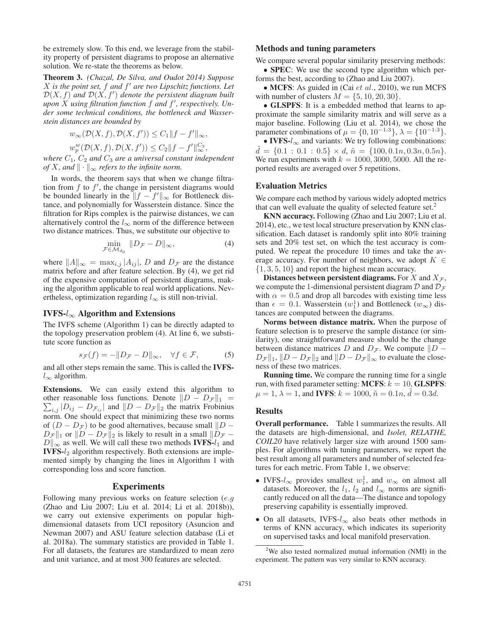be extremely slow. To this end, we leverage from the stability property of persistent diagrams to propose an alternative solution. We re-state the theorems as below.

Theorem 3. *(Chazal, De Silva, and Oudot 2014) Suppose* X is the point set, f and f' are two Lipschitz functions. Let  $\mathcal{D}(X, f)$  and  $\mathcal{D}(X, f')$  denote the persistent diagram built<br>upon X using filtration function f and f' respectively Un*upon* X *using filtration function* f *and* f *, respectively. Under some technical conditions, the bottleneck and Wasserstein distances are bounded by*

$$
w_{\infty}(\mathcal{D}(X,f), \mathcal{D}(X,f')) \leq C_1 ||f - f'||_{\infty},
$$
  
\n
$$
w_p^w(\mathcal{D}(X,f), \mathcal{D}(X,f')) \leq C_2 ||f - f'||_{\infty}^{C_3},
$$
  
\n
$$
C_1, \text{ and } C_n \text{ are a universal constant in } dm
$$

*where*  $C_1$ ,  $C_2$  *and*  $C_3$  *are a universal constant independent of*  $X$ *, and*  $\|\cdot\|_{\infty}$  *refers to the infinite norm.* 

In words, the theorem says that when we change filtration from  $f$  to  $f'$ , the change in persistent diagrams would be bounded linearly in the  $||f - f'||_{\infty}$  for Bottleneck distance, and polynomially for Wasserstein distance. Since the filtration for Rips complex is the pairwise distances, we can alternatively control the  $l_{\infty}$  norm of the difference between two distance matrices. Thus, we substitute our objective to

$$
\min_{\mathcal{F}\in\mathcal{M}_{d_0}} \|D_{\mathcal{F}} - D\|_{\infty},\tag{4}
$$

where  $||A||_{\infty} = \max_{i,j} |A_{ij}|$ , D and  $D_{\mathcal{F}}$  are the distance<br>matrix before and after feature selection By (4) we get rid matrix before and after feature selection. By (4), we get rid of the expensive computation of persistent diagrams, making the algorithm applicable to real world applications. Nevertheless, optimization regarding  $l_{\infty}$  is still non-trivial.

## IVFS- $l_{\infty}$  Algorithm and Extensions

The IVFS scheme (Algorithm 1) can be directly adapted to the topology preservation problem (4). At line 6, we substitute score function as

$$
s_{\mathcal{F}}(f) = -\|D_{\mathcal{F}} - D\|_{\infty}, \quad \forall f \in \mathcal{F}, \tag{5}
$$

and all other steps remain the same. This is called the IVFS $l_{\infty}$  algorithm.

Extensions. We can easily extend this algorithm to other reasonable loss functions. Denote  $||D - D_{\mathcal{F}}||$ other reasonable loss functions. Denote  $||D - D_{\mathcal{F}}||_1 = \sum_{i,j} |D_{ij} - D_{\mathcal{F}_{ij}}|$  and  $||D - D_{\mathcal{F}}||_2$  the matrix Frobinius norm. One should expect that minimizing these two norms of  $(D - D_{\mathcal{F}})$  to be good alternatives, because small  $||D - D_{\mathcal{F}}||_1$  or  $||D - D_{\mathcal{F}}||_2$  is likely to result in a small  $||D_{\mathcal{F}} - D_{\mathcal{F}}||_1$  $D_{\mathcal{F}} \|_1$  or  $\| D - D_{\mathcal{F}} \|_2$  is likely to result in a small  $\| D_{\mathcal{F}} - D_{\mathcal{F}} \|_2$  $D\|_{\infty}$  as well. We will call these two methods **IVFS-** $l_1$  and **IVFS-** $l_2$  algorithm respectively. Both extensions are implemented simply by changing the lines in Algorithm 1 with corresponding loss and score function.

#### Experiments

Following many previous works on feature selection  $(e.g.$ (Zhao and Liu 2007; Liu et al. 2014; Li et al. 2018b)), we carry out extensive experiments on popular highdimensional datasets from UCI repository (Asuncion and Newman 2007) and ASU feature selection database (Li et al. 2018a). The summary statistics are provided in Table 1. For all datasets, the features are standardized to mean zero and unit variance, and at most 300 features are selected.

# Methods and tuning parameters

We compare several popular similarity preserving methods:

• **SPEC**: We use the second type algorithm which performs the best, according to (Zhao and Liu 2007).

• MCFS: As guided in (Cai et al., 2010), we run MCFS with number of clusters  $M = \{5, 10, 20, 30\}.$ 

• GLSPFS: It is a embedded method that learns to approximate the sample similarity matrix and will serve as a major baseline. Following (Liu et al. 2014), we chose the parameter combinations of  $\mu = \{0, 10^{-1.3}\}, \lambda = \{10^{-1.3}\}.$ 

• IVFS- $l_{\infty}$  and variants: We try following combinations:  $u = \sqrt{0.1 + 0.1 + 0.9f} \times u$ ,  $u = \sqrt{1000, 0.1h} \times 0.9h$ ,  $0.9h$ .<br>We run experiments with  $k = 1000, 3000, 5000$ . All the re $d = \{0.1:0.1:0.5\} \times d, \tilde{n} = \{100, 0.1n, 0.3n, 0.5n\}.$ ported results are averaged over 5 repetitions.

## Evaluation Metrics

We compare each method by various widely adopted metrics that can well evaluate the quality of selected feature set.<sup>2</sup>

KNN accuracy. Following (Zhao and Liu 2007; Liu et al. 2014), etc., we test local structure preservation by KNN classification. Each dataset is randomly split into 80% training sets and 20% test set, on which the test accuracy is computed. We repeat the procedure 10 times and take the average accuracy. For number of neighbors, we adopt  $K \in$  $\{1, 3, 5, 10\}$  and report the highest mean accuracy.

Distances between persistent diagrams. For X and  $X_{\mathcal{F}}$ , we compute the 1-dimensional persistent diagram D and  $D<sub>F</sub>$ with  $\alpha = 0.5$  and drop all barcodes with existing time less than  $\epsilon = 0.1$ . Wasserstein  $(w_1^1)$  and Bottleneck  $(w_\infty)$  distances are computed between the diagrams tances are computed between the diagrams.

Norms between distance matrix. When the purpose of feature selection is to preserve the sample distance (or similarity), one straightforward measure should be the change between distance matrices D and  $D_{\mathcal{F}}$ . We compute  $||D D_{\mathcal{F}}||_1$ ,  $||D - D_{\mathcal{F}}||_2$  and  $||D - D_{\mathcal{F}}||_{\infty}$  to evaluate the closeness of these two matrices.

Running time. We compare the running time for a single run, with fixed parameter setting: MCFS:  $k = 10$ , GLSPFS:  $\mu = 1, \lambda = 1$ , and **IVFS**:  $k = 1000, \tilde{n} = 0.1n, d = 0.3d$ .

#### Results

Overall performance. Table 1 summarizes the results. All the datasets are high-dimensional, and *Isolet, RELATHE, COIL20* have relatively larger size with around 1500 samples. For algorithms with tuning parameters, we report the best result among all parameters and number of selected features for each metric. From Table 1, we observe:

- IVFS- $l_{\infty}$  provides smallest  $w_1^1$ , and  $w_{\infty}$  on almost all datasets. Moreover, the  $l_1$ ,  $l_2$  and  $l_{\infty}$  norms are significantly reduced on all the data—The distance and topology preserving capability is essentially improved.
- On all datasets, IVFS-l<sup>∞</sup> also beats other methods in terms of KNN accuracy, which indicates its superiority on supervised tasks and local manifold preservation.

<sup>&</sup>lt;sup>2</sup>We also tested normalized mutual information (NMI) in the experiment. The pattern was very similar to KNN accuracy.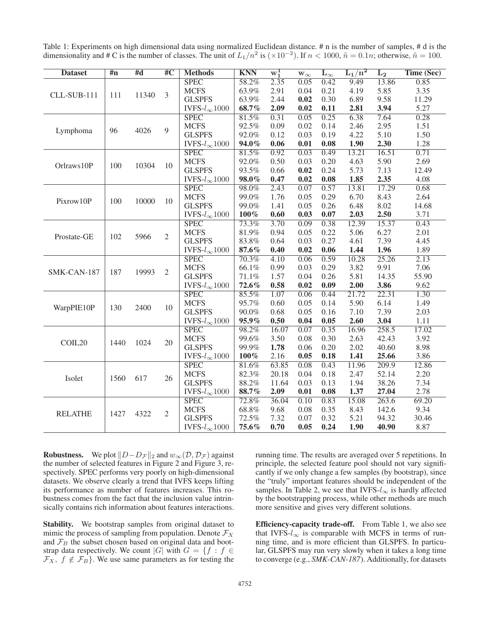Table 1: Experiments on high dimensional data using normalized Euclidean distance. # n is the number of samples, # d is the dimensionality and # C is the number of classes. The unit of  $L_1/n^2$  is  $(\times 10^{-2})$ . If  $n < 1000$ ,  $\tilde{n} = 0.1n$ ; otherwise,  $\tilde{n} = 100$ .

| <b>Dataset</b> | $\overline{4n}$ | #d    | $\overline{\rm \#C}$ | <b>Methods</b>               | <b>KNN</b> | $w_1^1$ | $\mathbf{w}_{\infty}$ | $\mathbf{L}_{\infty}$ | $\rm L_1/n^2$ | L <sub>2</sub> | Time (Sec) |
|----------------|-----------------|-------|----------------------|------------------------------|------------|---------|-----------------------|-----------------------|---------------|----------------|------------|
|                |                 | 11340 | 3                    | <b>SPEC</b>                  | 58.2%      | 2.35    | 0.05                  | 0.42                  | 9.49          | 13.86          | 0.85       |
|                | 111             |       |                      | <b>MCFS</b>                  | 63.9%      | 2.91    | 0.04                  | 0.21                  | 4.19          | 5.85           | 3.35       |
| CLL-SUB-111    |                 |       |                      | <b>GLSPFS</b>                | 63.9%      | 2.44    | 0.02                  | 0.30                  | 6.89          | 9.58           | 11.29      |
|                |                 |       |                      | IVFS- $l_{\infty}1000$       | 68.7%      | 2.09    | 0.02                  | 0.11                  | 2.81          | 3.94           | 5.27       |
|                |                 | 4026  | 9                    | <b>SPEC</b>                  | 81.5%      | 0.31    | 0.05                  | 0.25                  | 6.38          | 7.64           | 0.28       |
|                | 96              |       |                      | <b>MCFS</b>                  | 92.5%      | 0.09    | 0.02                  | 0.14                  | 2.46          | 2.95           | 1.51       |
| Lymphoma       |                 |       |                      | <b>GLSPFS</b>                | 92.0%      | 0.12    | 0.03                  | 0.19                  | 4.22          | 5.10           | 1.50       |
|                |                 |       |                      | $\text{IVFS-}l_{\infty}1000$ | 94.0%      | 0.06    | 0.01                  | 0.08                  | 1.90          | 2.30           | 1.28       |
|                | 100             | 10304 | 10                   | <b>SPEC</b>                  | 81.5%      | 0.92    | 0.03                  | 0.49                  | 13.21         | 16.51          | 0.71       |
| Orlraws10P     |                 |       |                      | <b>MCFS</b>                  | 92.0%      | 0.50    | 0.03                  | 0.20                  | 4.63          | 5.90           | 2.69       |
|                |                 |       |                      | <b>GLSPFS</b>                | 93.5%      | 0.66    | 0.02                  | 0.24                  | 5.73          | 7.13           | 12.49      |
|                |                 |       |                      | IVFS- $l_{\infty}1000$       | 98.0%      | 0.47    | 0.02                  | 0.08                  | 1.85          | 2.35           | 4.08       |
|                | 100             | 10000 | 10                   | <b>SPEC</b>                  | 98.0%      | 2.43    | 0.07                  | 0.57                  | 13.81         | 17.29          | 0.68       |
| Pixrow10P      |                 |       |                      | <b>MCFS</b>                  | 99.0%      | 1.76    | 0.05                  | 0.29                  | 6.70          | 8.43           | 2.64       |
|                |                 |       |                      | <b>GLSPFS</b>                | 99.0%      | 1.41    | 0.05                  | 0.26                  | 6.48          | 8.02           | 14.68      |
|                |                 |       |                      | IVFS- $l_{\infty}1000$       | $100\%$    | 0.60    | 0.03                  | 0.07                  | 2.03          | 2.50           | 3.71       |
|                | 102             | 5966  | 2                    | <b>SPEC</b>                  | 73.3%      | 3.70    | 0.09                  | 0.38                  | 12.39         | 15.37          | 0.43       |
| Prostate-GE    |                 |       |                      | <b>MCFS</b>                  | 81.9%      | 0.94    | 0.05                  | 0.22                  | 5.06          | 6.27           | 2.01       |
|                |                 |       |                      | <b>GLSPFS</b>                | 83.8%      | 0.64    | 0.03                  | 0.27                  | 4.61          | 7.39           | 4.45       |
|                |                 |       |                      | IVFS- $l_{\infty}1000$       | 87.6%      | 0.40    | 0.02                  | 0.06                  | 1.44          | 1.96           | 1.89       |
|                |                 | 19993 | $\overline{2}$       | <b>SPEC</b>                  | 70.3%      | 4.10    | 0.06                  | 0.59                  | 10.28         | 25.26          | 2.13       |
| SMK-CAN-187    | 187             |       |                      | <b>MCFS</b>                  | 66.1%      | 0.99    | 0.03                  | 0.29                  | 3.82          | 9.91           | 7.06       |
|                |                 |       |                      | <b>GLSPFS</b>                | 71.1%      | 1.57    | 0.04                  | 0.26                  | 5.81          | 14.35          | 55.90      |
|                |                 |       |                      | IVFS- $l_{\infty}1000$       | 72.6%      | 0.58    | 0.02                  | 0.09                  | 2.00          | 3.86           | 9.62       |
|                | 130             | 2400  | 10                   | <b>SPEC</b>                  | 85.5%      | 1.07    | 0.06                  | 0.44                  | 21.72         | 22.31          | 1.30       |
| WarpPIE10P     |                 |       |                      | <b>MCFS</b>                  | 95.7%      | 0.60    | 0.05                  | 0.14                  | 5.90          | 6.14           | 1.49       |
|                |                 |       |                      | <b>GLSPFS</b>                | 90.0%      | 0.68    | 0.05                  | 0.16                  | 7.10          | 7.39           | 2.03       |
|                |                 |       |                      | IVFS- $l_{\infty}1000$       | 95.9%      | 0.50    | 0.04                  | 0.05                  | 2.60          | 3.04           | 1.11       |
|                | 1440            | 1024  | 20                   | <b>SPEC</b>                  | 98.2%      | 16.07   | 0.07                  | 0.35                  | 16.96         | 258.5          | 17.02      |
| COIL20         |                 |       |                      | <b>MCFS</b>                  | 99.6%      | 3.50    | 0.08                  | 0.30                  | 2.63          | 42.43          | 3.92       |
|                |                 |       |                      | <b>GLSPFS</b>                | 99.9%      | 1.78    | 0.06                  | 0.20                  | 2.02          | 40.60          | 8.98       |
|                |                 |       |                      | IVFS- $l_{\infty}1000$       | $100\%$    | 2.16    | 0.05                  | 0.18                  | 1.41          | 25.66          | 3.86       |
|                |                 | 617   | 26                   | <b>SPEC</b>                  | 81.6%      | 63.85   | 0.08                  | 0.43                  | 11.96         | 209.9          | 12.86      |
| Isolet         | 1560            |       |                      | <b>MCFS</b>                  | 82.3%      | 20.18   | 0.04                  | 0.18                  | 2.47          | 52.14          | 2.20       |
|                |                 |       |                      | <b>GLSPFS</b>                | 88.2%      | 11.64   | 0.03                  | 0.13                  | 1.94          | 38.26          | 7.34       |
|                |                 |       |                      | IVFS- $l_{\infty}1000$       | 88.7%      | 2.09    | 0.01                  | 0.08                  | 1.37          | 27.04          | 2.78       |
|                |                 | 4322  | $\mathfrak{2}$       | <b>SPEC</b>                  | 72.8%      | 36.04   | 0.10                  | 0.83                  | 15.08         | 263.6          | 69.20      |
| <b>RELATHE</b> | 1427            |       |                      | <b>MCFS</b>                  | 68.8%      | 9.68    | 0.08                  | 0.35                  | 8.43          | 142.6          | 9.34       |
|                |                 |       |                      | <b>GLSPFS</b>                | 72.5%      | 7.32    | 0.07                  | 0.32                  | 5.21          | 94.32          | 30.46      |
|                |                 |       |                      | IVFS- $l_{\infty}1000$       | 75.6%      | 0.70    | 0.05                  | 0.24                  | 1.90          | 40.90          | 8.87       |
|                |                 |       |                      |                              |            |         |                       |                       |               |                |            |

**Robustness.** We plot  $||D - D_{\mathcal{F}}||_2$  and  $w_{\infty}(\mathcal{D}, \mathcal{D}_{\mathcal{F}})$  against the number of selected features in Figure 2 and Figure 3 rethe number of selected features in Figure 2 and Figure 3, respectively. SPEC performs very poorly on high-dimensional datasets. We observe clearly a trend that IVFS keeps lifting its performance as number of features increases. This robustness comes from the fact that the inclusion value intrinsically contains rich information about features interactions.

Stability. We bootstrap samples from original dataset to mimic the process of sampling from population. Denote  $\mathcal{F}_X$ and  $\mathcal{F}_B$  the subset chosen based on original data and bootstrap data respectively. We count |G| with  $G = \{f : f \in$  $\mathcal{F}_X$ ,  $f \notin \mathcal{F}_B$ . We use same parameters as for testing the

running time. The results are averaged over 5 repetitions. In principle, the selected feature pool should not vary significantly if we only change a few samples (by bootstrap), since the "truly" important features should be independent of the samples. In Table 2, we see that IVFS- $l_{\infty}$  is hardly affected by the bootstrapping process, while other methods are much more sensitive and gives very different solutions.

Efficiency-capacity trade-off. From Table 1, we also see that IVFS- $l_{\infty}$  is comparable with MCFS in terms of running time, and is more efficient than GLSPFS. In particular, GLSPFS may run very slowly when it takes a long time to converge (e.g., *SMK-CAN-187*). Additionally, for datasets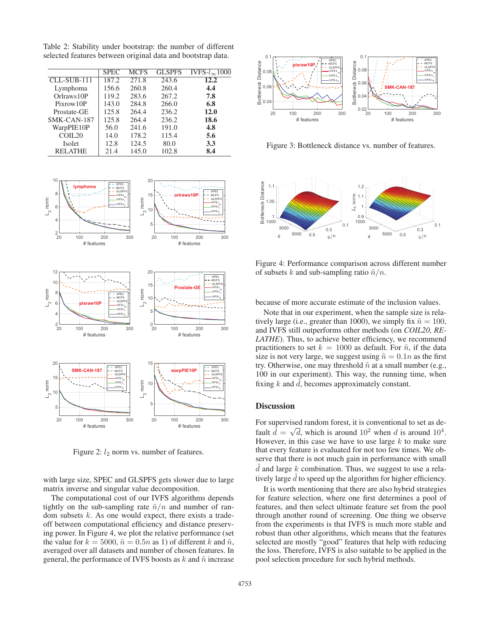Table 2: Stability under bootstrap: the number of different selected features between original data and bootstrap data.

|                | <b>SPEC</b> | <b>MCFS</b> | <b>GLSPFS</b> | IVFS- $l_{\infty}1000$ |
|----------------|-------------|-------------|---------------|------------------------|
| CLL-SUB-111    | 187.2       | 271.8       | 243.6         | 12.2                   |
| Lymphoma       | 156.6       | 260.8       | 260.4         | 4.4                    |
| Orlraws 10P    | 119.2       | 283.6       | 267.2         | 7.8                    |
| Pixrow10P      | 143.0       | 284.8       | 266.0         | 6.8                    |
| Prostate-GE    | 125.8       | 264.4       | 236.2         | 12.0                   |
| SMK-CAN-187    | 125.8       | 264.4       | 236.2         | 18.6                   |
| WarpPIE10P     | 56.0        | 241.6       | 191.0         | 4.8                    |
| COLL20         | 14.0        | 178.2       | 115.4         | 5.6                    |
| Isolet         | 12.8        | 124.5       | 80.0          | 3.3                    |
| <b>RELATHE</b> | 21.4        | 145.0       | 102.8         | 8.4                    |



Figure 2:  $l_2$  norm vs. number of features.

with large size, SPEC and GLSPFS gets slower due to large matrix inverse and singular value decomposition.

The computational cost of our IVFS algorithms depends tightly on the sub-sampling rate  $\tilde{n}/n$  and number of random subsets  $k$ . As one would expect, there exists a tradeoff between computational efficiency and distance preserving power. In Figure 4, we plot the relative performance (set the value for  $k = 5000$ ,  $\tilde{n} = 0.5n$  as 1) of different k and  $\tilde{n}$ , averaged over all datasets and number of chosen features. In general, the performance of IVFS boosts as  $k$  and  $\tilde{n}$  increase



Figure 3: Bottleneck distance vs. number of features.



Figure 4: Performance comparison across different number of subsets k and sub-sampling ratio  $\tilde{n}/n$ .

because of more accurate estimate of the inclusion values.

Note that in our experiment, when the sample size is relatively large (i.e., greater than 1000), we simply fix  $\tilde{n} = 100$ , and IVFS still outperforms other methods (on *COIL20, RE-LATHE*). Thus, to achieve better efficiency, we recommend practitioners to set  $k = 1000$  as default. For  $\tilde{n}$ , if the data size is not very large, we suggest using  $\tilde{n} = 0.1n$  as the first try. Otherwise, one may threshold  $\tilde{n}$  at a small number (e.g., 100 in our experiment). This way, the running time, when fixing  $k$  and  $d$ , becomes approximately constant.

## **Discussion**

For supervised random forest, it is conventional to set as de-For supervised random forest, it is conventional to set as de-<br>fault  $\tilde{d} = \sqrt{d}$ , which is around  $10^2$  when d is around  $10^4$ .<br>However in this case we have to use large k to make sure However, in this case we have to use large  $k$  to make sure that every feature is evaluated for not too few times. We observe that there is not much gain in performance with small *d* and large *k* combination. Thus, we suggest to use a relatively large d to speed up the algorithm for higher efficiency.

It is worth mentioning that there are also hybrid strategies for feature selection, where one first determines a pool of features, and then select ultimate feature set from the pool through another round of screening. One thing we observe from the experiments is that IVFS is much more stable and robust than other algorithms, which means that the features selected are mostly "good" features that help with reducing the loss. Therefore, IVFS is also suitable to be applied in the pool selection procedure for such hybrid methods.